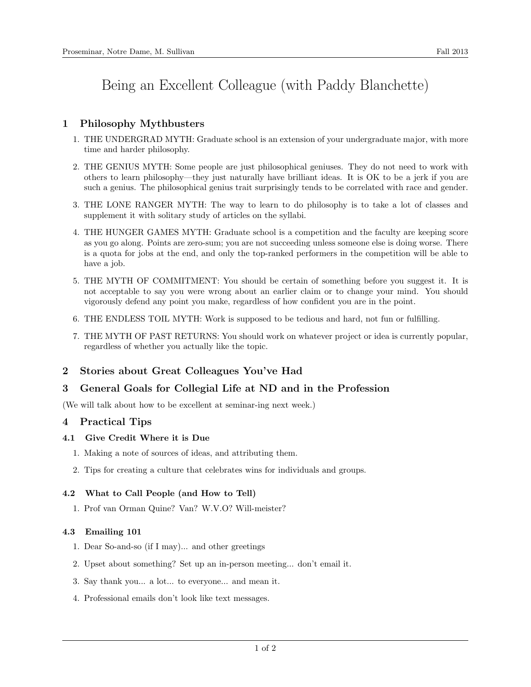# Being an Excellent Colleague (with Paddy Blanchette)

# 1 Philosophy Mythbusters

- 1. THE UNDERGRAD MYTH: Graduate school is an extension of your undergraduate major, with more time and harder philosophy.
- 2. THE GENIUS MYTH: Some people are just philosophical geniuses. They do not need to work with others to learn philosophy—they just naturally have brilliant ideas. It is OK to be a jerk if you are such a genius. The philosophical genius trait surprisingly tends to be correlated with race and gender.
- 3. THE LONE RANGER MYTH: The way to learn to do philosophy is to take a lot of classes and supplement it with solitary study of articles on the syllabi.
- 4. THE HUNGER GAMES MYTH: Graduate school is a competition and the faculty are keeping score as you go along. Points are zero-sum; you are not succeeding unless someone else is doing worse. There is a quota for jobs at the end, and only the top-ranked performers in the competition will be able to have a job.
- 5. THE MYTH OF COMMITMENT: You should be certain of something before you suggest it. It is not acceptable to say you were wrong about an earlier claim or to change your mind. You should vigorously defend any point you make, regardless of how confident you are in the point.
- 6. THE ENDLESS TOIL MYTH: Work is supposed to be tedious and hard, not fun or fulfilling.
- 7. THE MYTH OF PAST RETURNS: You should work on whatever project or idea is currently popular, regardless of whether you actually like the topic.

# 2 Stories about Great Colleagues You've Had

# 3 General Goals for Collegial Life at ND and in the Profession

(We will talk about how to be excellent at seminar-ing next week.)

# 4 Practical Tips

#### 4.1 Give Credit Where it is Due

- 1. Making a note of sources of ideas, and attributing them.
- 2. Tips for creating a culture that celebrates wins for individuals and groups.

# 4.2 What to Call People (and How to Tell)

1. Prof van Orman Quine? Van? W.V.O? Will-meister?

#### 4.3 Emailing 101

- 1. Dear So-and-so (if I may)... and other greetings
- 2. Upset about something? Set up an in-person meeting... don't email it.
- 3. Say thank you... a lot... to everyone... and mean it.
- 4. Professional emails don't look like text messages.